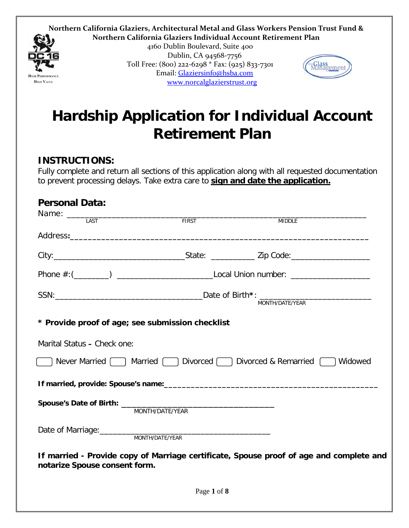**Northern California Glaziers, Architectural Metal and Glass Workers Pension Trust Fund & Northern California Glaziers Individual Account Retirement Plan**



4160 Dublin Boulevard, Suite 400 Dublin, CA 94568-7756 Toll Free: (800) 222-6298 \* Fax: (925) 833-7301 Email: [Glaziersinfo@hsba.com](mailto:Glaziersinfo@hsba.com) [www.norcalglazierstrust.org](http://www.norcalglazierstrust.org/)



# **Hardship Application for Individual Account Retirement Plan**

#### **INSTRUCTIONS:**

Fully complete and return all sections of this application along with all requested documentation to prevent processing delays. Take extra care to **sign and date the application.** 

| <b>Personal Data:</b>                            |                 |                                                                                         |  |  |  |
|--------------------------------------------------|-----------------|-----------------------------------------------------------------------------------------|--|--|--|
|                                                  |                 | <b>MIDDLE</b>                                                                           |  |  |  |
|                                                  |                 |                                                                                         |  |  |  |
|                                                  |                 |                                                                                         |  |  |  |
|                                                  |                 |                                                                                         |  |  |  |
|                                                  |                 |                                                                                         |  |  |  |
| * Provide proof of age; see submission checklist |                 |                                                                                         |  |  |  |
| Marital Status - Check one:                      |                 |                                                                                         |  |  |  |
|                                                  |                 | Never Married 1 Married 1 Divorced 1 Divorced & Remarried 1 Widowed                     |  |  |  |
|                                                  |                 |                                                                                         |  |  |  |
|                                                  | MONTH/DATE/YEAR |                                                                                         |  |  |  |
|                                                  | MONTH/DATE/YEAR |                                                                                         |  |  |  |
| notarize Spouse consent form.                    |                 | If married - Provide copy of Marriage certificate, Spouse proof of age and complete and |  |  |  |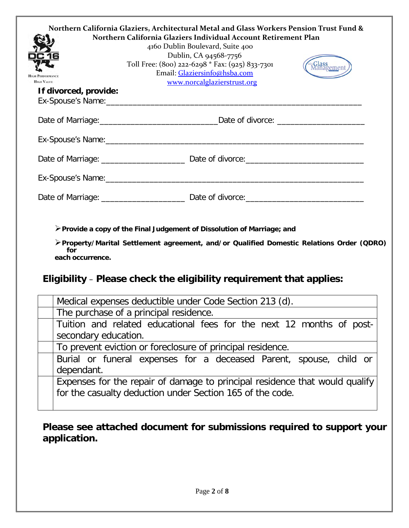| Northern California Glaziers, Architectural Metal and Glass Workers Pension Trust Fund &<br>Northern California Glaziers Individual Account Retirement Plan<br>4160 Dublin Boulevard, Suite 400<br>Dublin, CA 94568-7756 |                                                                                                                |            |  |  |  |  |
|--------------------------------------------------------------------------------------------------------------------------------------------------------------------------------------------------------------------------|----------------------------------------------------------------------------------------------------------------|------------|--|--|--|--|
| <b>HIGH PERFORMANCE</b><br><b>HIGH VALUE</b>                                                                                                                                                                             | Toll Free: (800) 222-6298 * Fax: (925) 833-7301<br>Email: Glaziersinfo@hsba.com<br>www.norcalglazierstrust.org | Aanagement |  |  |  |  |
| If divorced, provide:                                                                                                                                                                                                    |                                                                                                                |            |  |  |  |  |
|                                                                                                                                                                                                                          |                                                                                                                |            |  |  |  |  |
|                                                                                                                                                                                                                          |                                                                                                                |            |  |  |  |  |
|                                                                                                                                                                                                                          |                                                                                                                |            |  |  |  |  |
|                                                                                                                                                                                                                          |                                                                                                                |            |  |  |  |  |
|                                                                                                                                                                                                                          |                                                                                                                |            |  |  |  |  |

**Provide a copy of the Final Judgement of Dissolution of Marriage; and**

**Property/Marital Settlement agreement, and/or Qualified Domestic Relations Order (QDRO) for each occurrence.**

### **Eligibility** – **Please check the eligibility requirement that applies:**

| Medical expenses deductible under Code Section 213 (d).                     |  |  |  |  |  |  |
|-----------------------------------------------------------------------------|--|--|--|--|--|--|
| The purchase of a principal residence.                                      |  |  |  |  |  |  |
| Tuition and related educational fees for the next 12 months of post-        |  |  |  |  |  |  |
| secondary education.                                                        |  |  |  |  |  |  |
| To prevent eviction or foreclosure of principal residence.                  |  |  |  |  |  |  |
| Burial or funeral expenses for a deceased Parent, spouse, child or          |  |  |  |  |  |  |
| dependant.                                                                  |  |  |  |  |  |  |
| Expenses for the repair of damage to principal residence that would qualify |  |  |  |  |  |  |
| for the casualty deduction under Section 165 of the code.                   |  |  |  |  |  |  |
|                                                                             |  |  |  |  |  |  |

### **Please see attached document for submissions required to support your application.**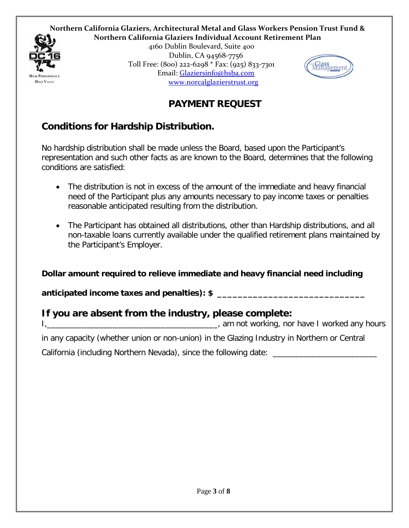



4160 Dublin Boulevard, Suite 400 Dublin, CA 94568-7756 Toll Free: (800) 222-6298 \* Fax: (925) 833-7301 Email: [Glaziersinfo@hsba.com](mailto:Glaziersinfo@hsba.com) [www.norcalglazierstrust.org](http://www.norcalglazierstrust.org/)



### **PAYMENT REQUEST**

### **Conditions for Hardship Distribution.**

No hardship distribution shall be made unless the Board, based upon the Participant's representation and such other facts as are known to the Board, determines that the following conditions are satisfied:

- The distribution is not in excess of the amount of the immediate and heavy financial need of the Participant plus any amounts necessary to pay income taxes or penalties reasonable anticipated resulting from the distribution.
- The Participant has obtained all distributions, other than Hardship distributions, and all non-taxable loans currently available under the qualified retirement plans maintained by the Participant's Employer.

**Dollar amount required to relieve immediate and heavy financial need including** 

**anticipated income taxes and penalties): \$ \_\_\_\_\_\_\_\_\_\_\_\_\_\_\_\_\_\_\_\_\_\_\_\_\_\_\_\_\_**

### **If you are absent from the industry, please complete:**

I,\_\_\_\_\_\_\_\_\_\_\_\_\_\_\_\_\_\_\_\_\_\_\_\_\_\_\_\_\_\_\_\_\_\_\_\_\_\_\_, am not working, nor have I worked any hours

in any capacity (whether union or non-union) in the Glazing Industry in Northern or Central California (including Northern Nevada), since the following date: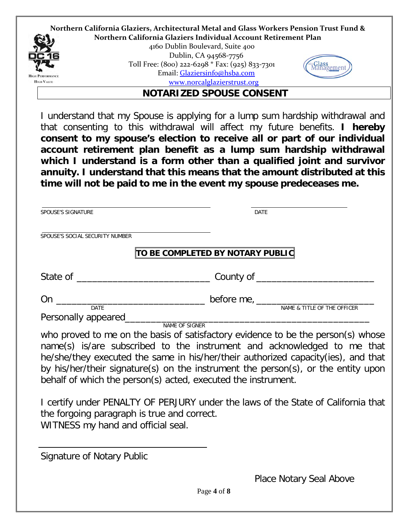

**NOTARIZED SPOUSE CONSENT**

I understand that my Spouse is applying for a lump sum hardship withdrawal and that consenting to this withdrawal will affect my future benefits. **I hereby consent to my spouse's election to receive all or part of our individual account retirement plan benefit as a lump sum hardship withdrawal which I understand is a form other than a qualified joint and survivor annuity. I understand that this means that the amount distributed at this time will not be paid to me in the event my spouse predeceases me.**

| <b>DATE</b>                      |                                                                                                                |
|----------------------------------|----------------------------------------------------------------------------------------------------------------|
|                                  |                                                                                                                |
| TO BE COMPLETED BY NOTARY PUBLIC |                                                                                                                |
|                                  |                                                                                                                |
|                                  |                                                                                                                |
| NAME OF SIGNER                   |                                                                                                                |
|                                  | NAME & TITLE OF THE OFFICER<br>who proved to me on the basis of satisfactory evidence to be the person(s) whos |

who proved to me on the basis of satisfactory evidence to be the person(s) whose name(s) is/are subscribed to the instrument and acknowledged to me that he/she/they executed the same in his/her/their authorized capacity(ies), and that by his/her/their signature(s) on the instrument the person(s), or the entity upon behalf of which the person(s) acted, executed the instrument.

I certify under PENALTY OF PERJURY under the laws of the State of California that the forgoing paragraph is true and correct. WITNESS my hand and official seal.

Signature of Notary Public

Place Notary Seal Above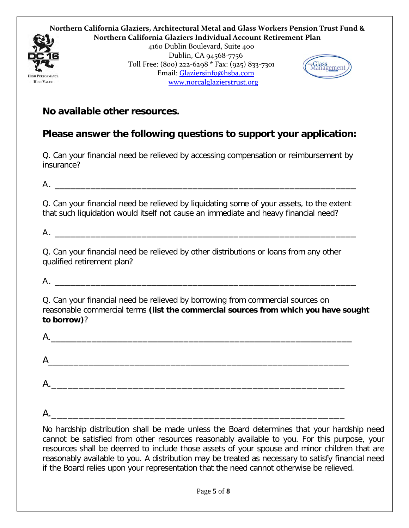

#### **No available other resources.**

#### **Please answer the following questions to support your application:**

Q. Can your financial need be relieved by accessing compensation or reimbursement by insurance?

 $A$ .

Q. Can your financial need be relieved by liquidating some of your assets, to the extent that such liquidation would itself not cause an immediate and heavy financial need?

 $A.$   $\overline{\phantom{a}}$ 

Q. Can your financial need be relieved by other distributions or loans from any other qualified retirement plan?

 $A$ .

Q. Can your financial need be relieved by borrowing from commercial sources on reasonable commercial terms **(list the commercial sources from which you have sought to borrow)**?

| А.        |  |  |  |
|-----------|--|--|--|
| Α         |  |  |  |
| А.<br>___ |  |  |  |
|           |  |  |  |

 $A$ .

No hardship distribution shall be made unless the Board determines that your hardship need cannot be satisfied from other resources reasonably available to you. For this purpose, your resources shall be deemed to include those assets of your spouse and minor children that are reasonably available to you. A distribution may be treated as necessary to satisfy financial need if the Board relies upon your representation that the need cannot otherwise be relieved.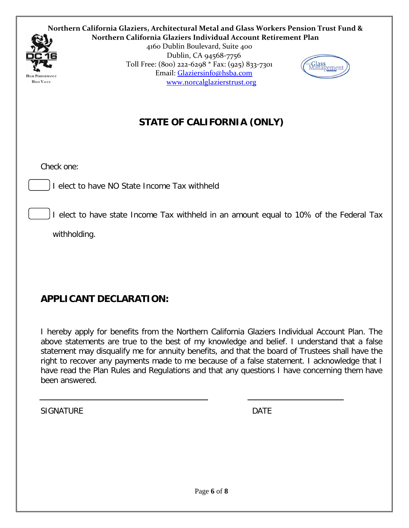

**Northern California Glaziers, Architectural Metal and Glass Workers Pension Trust Fund & Northern California Glaziers Individual Account Retirement Plan**

4160 Dublin Boulevard, Suite 400 Dublin, CA 94568-7756 Toll Free: (800) 222-6298 \* Fax: (925) 833-7301 Email: [Glaziersinfo@hsba.com](mailto:Glaziersinfo@hsba.com) [www.norcalglazierstrust.org](http://www.norcalglazierstrust.org/)



## **STATE OF CALIFORNIA (ONLY)**

Check one:

I elect to have NO State Income Tax withheld

I elect to have state Income Tax withheld in an amount equal to 10% of the Federal Tax

withholding.

### **APPLICANT DECLARATION:**

I hereby apply for benefits from the Northern California Glaziers Individual Account Plan. The above statements are true to the best of my knowledge and belief. I understand that a false statement may disqualify me for annuity benefits, and that the board of Trustees shall have the right to recover any payments made to me because of a false statement. I acknowledge that I have read the Plan Rules and Regulations and that any questions I have concerning them have been answered.

SIGNATURE DATE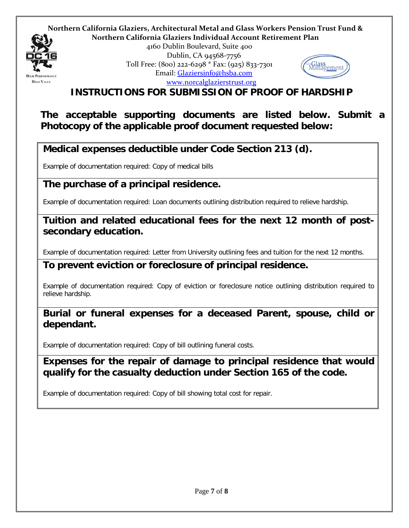

#### **Northern California Glaziers, Architectural Metal and Glass Workers Pension Trust Fund & Northern California Glaziers Individual Account Retirement Plan**

4160 Dublin Boulevard, Suite 400 Dublin, CA 94568-7756 Toll Free: (800) 222-6298 \* Fax: (925) 833-7301 Email: [Glaziersinfo@hsba.com](mailto:Glaziersinfo@hsba.com) [www.norcalglazierstrust.org](http://www.norcalglazierstrust.org/)



**INSTRUCTIONS FOR SUBMISSION OF PROOF OF HARDSHIP**

**The acceptable supporting documents are listed below. Submit a Photocopy of the applicable proof document requested below:**

### **Medical expenses deductible under Code Section 213 (d).**

Example of documentation required: Copy of medical bills

#### **The purchase of a principal residence.**

Example of documentation required: Loan documents outlining distribution required to relieve hardship.

#### **Tuition and related educational fees for the next 12 month of postsecondary education.**

Example of documentation required: Letter from University outlining fees and tuition for the next 12 months.

#### **To prevent eviction or foreclosure of principal residence.**

Example of documentation required: Copy of eviction or foreclosure notice outlining distribution required to relieve hardship.

#### **Burial or funeral expenses for a deceased Parent, spouse, child or dependant.**

Example of documentation required: Copy of bill outlining funeral costs.

#### **Expenses for the repair of damage to principal residence that would qualify for the casualty deduction under Section 165 of the code.**

Example of documentation required: Copy of bill showing total cost for repair.